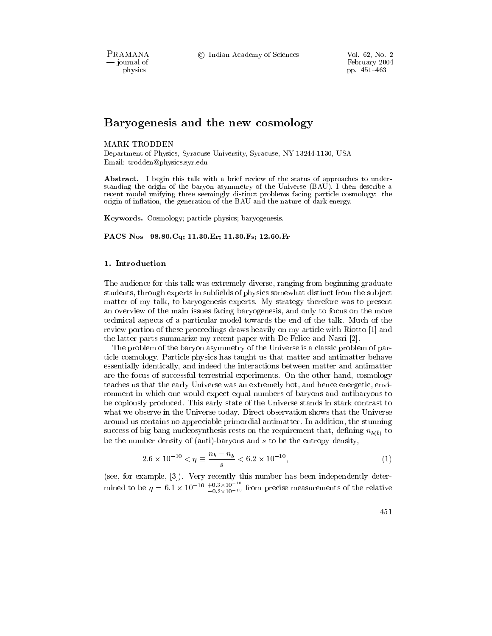PRAMANA - journal of physics

© Indian Academy of Sciences

Vol. 62, No. 2 February 2004 pp. 451-463

# Baryogenesis and the new cosmology

### **MARK TRODDEN**

Department of Physics, Syracuse University, Syracuse, NY 13244-1130, USA Email: trodden@physics.syr.edu

**Abstract.** I begin this talk with a brief review of the status of approaches to understanding the origin of the baryon asymmetry of the Universe (BAU). I then describe a recent model unifying three seemingly distinct problems facing particle cosmology: the origin of inflation, the generation of the BAU and the nature of dark energy.

**Keywords.** Cosmology; particle physics; baryogenesis.

PACS Nos 98.80. Cq; 11.30. Er; 11.30. Fs; 12.60. Fr

# 1. Introduction

The audience for this talk was extremely diverse, ranging from beginning graduate students, through experts in subfields of physics somewhat distinct from the subject matter of my talk, to baryogenesis experts. My strategy therefore was to present an overview of the main issues facing baryogenesis, and only to focus on the more technical aspects of a particular model towards the end of the talk. Much of the review portion of these proceedings draws heavily on my article with Riotto [1] and the latter parts summarize my recent paper with De Felice and Nasri [2].

The problem of the baryon asymmetry of the Universe is a classic problem of particle cosmology. Particle physics has taught us that matter and antimatter behave essentially identically, and indeed the interactions between matter and antimatter are the focus of successful terrestrial experiments. On the other hand, cosmology teaches us that the early Universe was an extremely hot, and hence energetic, environment in which one would expect equal numbers of baryons and antibaryons to be copiously produced. This early state of the Universe stands in stark contrast to what we observe in the Universe today. Direct observation shows that the Universe around us contains no appreciable primordial antimatter. In addition, the stunning success of big bang nucleosynthesis rests on the requirement that, defining  $n_{b(\bar{b})}$  to be the number density of (anti)-baryons and  $s$  to be the entropy density,

$$
2.6 \times 10^{-10} < \eta \equiv \frac{n_b - n_{\bar{b}}}{s} < 6.2 \times 10^{-10},\tag{1}
$$

(see, for example, [3]). Very recently this number has been independently determined to be  $\eta = 6.1 \times 10^{-10} \frac{+0.3 \times 10^{-10}}{-0.2 \times 10^{-10}}$  from precise measurements of the relative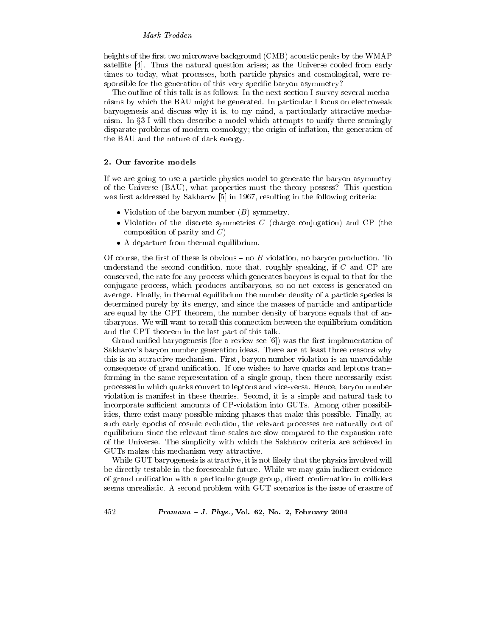heights of the first two microwave background (CMB) acoustic peaks by the WMAP satellite  $[4]$ . Thus the natural question arises; as the Universe cooled from early times to today, what processes, both particle physics and cosmological, were responsible for the generation of this very specific baryon asymmetry?

The outline of this talk is as follows: In the next section I survey several mechanisms by which the BAU might be generated. In particular I focus on electroweak baryogenesis and discuss why it is, to my mind, a particularly attractive mechanism. In §3 I will then describe a model which attempts to unify three seemingly disparate problems of modern cosmology; the origin of inflation, the generation of the BAU and the nature of dark energy.

### 2. Our favorite models

If we are going to use a particle physics model to generate the baryon asymmetry of the Universe (BAU), what properties must the theory possess? This question was first addressed by Sakharov [5] in 1967, resulting in the following criteria:

- Violation of the baryon number  $(B)$  symmetry.
- Violation of the discrete symmetries  $C$  (charge conjugation) and CP (the composition of parity and  $C$ )
- A departure from thermal equilibrium.

Of course, the first of these is obvious – no  $B$  violation, no baryon production. To understand the second condition, note that, roughly speaking, if  $C$  and  $\overline{CP}$  are conserved, the rate for any process which generates baryons is equal to that for the conjugate process, which produces antibaryons, so no net excess is generated on average. Finally, in thermal equilibrium the number density of a particle species is determined purely by its energy, and since the masses of particle and antiparticle are equal by the CPT theorem, the number density of baryons equals that of antibaryons. We will want to recall this connection between the equilibrium condition and the CPT theorem in the last part of this talk.

Grand unified baryogenesis (for a review see  $[6]$ ) was the first implementation of Sakharov's baryon number generation ideas. There are at least three reasons why this is an attractive mechanism. First, baryon number violation is an unavoidable consequence of grand unification. If one wishes to have quarks and leptons transforming in the same representation of a single group, then there necessarily exist processes in which quarks convert to leptons and vice-versa. Hence, baryon number violation is manifest in these theories. Second, it is a simple and natural task to incorporate sufficient amounts of CP-violation into GUTs. Among other possibilities, there exist many possible mixing phases that make this possible. Finally, at such early epochs of cosmic evolution, the relevant processes are naturally out of equilibrium since the relevant time-scales are slow compared to the expansion rate of the Universe. The simplicity with which the Sakharov criteria are achieved in GUTs makes this mechanism very attractive.

While GUT baryogenesis is attractive, it is not likely that the physics involved will be directly testable in the foreseeable future. While we may gain indirect evidence of grand unification with a particular gauge group, direct confirmation in colliders seems unrealistic. A second problem with GUT scenarios is the issue of erasure of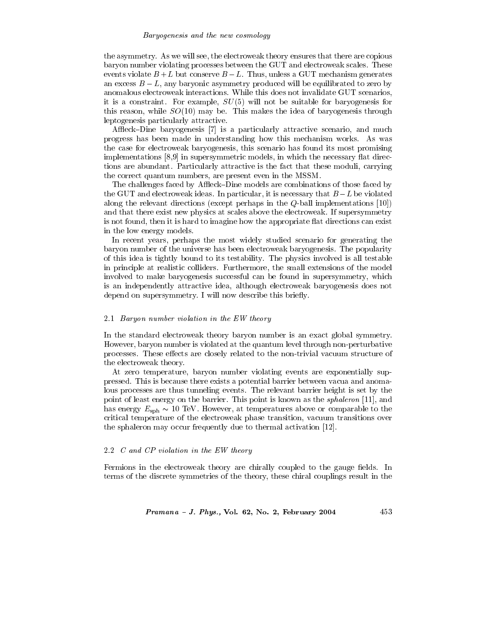### Baryogenesis and the new cosmology

the asymmetry. As we will see, the electroweak theory ensures that there are copious baryon number violating processes between the GUT and electroweak scales. These events violate  $B + L$  but conserve  $B - L$ . Thus, unless a GUT mechanism generates an excess  $B-L$ , any baryonic asymmetry produced will be equilibrated to zero by anomalous electroweak interactions. While this does not invalidate GUT scenarios, it is a constraint. For example,  $SU(5)$  will not be suitable for baryogenesis for this reason, while  $SO(10)$  may be. This makes the idea of baryogenesis through leptogenesis particularly attractive.

Affleck-Dine baryogenesis [7] is a particularly attractive scenario, and much progress has been made in understanding how this mechanism works. As was the case for electroweak baryogenesis, this scenario has found its most promising implementations [8,9] in supersymmetric models, in which the necessary flat directions are abundant. Particularly attractive is the fact that these moduli, carrying the correct quantum numbers, are present even in the MSSM.

The challenges faced by Affleck–Dine models are combinations of those faced by the GUT and electroweak ideas. In particular, it is necessary that  $B-L$  be violated along the relevant directions (except perhaps in the  $Q$ -ball implementations [10]) and that there exist new physics at scales above the electroweak. If supersymmetry is not found, then it is hard to imagine how the appropriate flat directions can exist in the low energy models.

In recent years, perhaps the most widely studied scenario for generating the baryon number of the universe has been electroweak baryogenesis. The popularity of this idea is tightly bound to its testability. The physics involved is all testable in principle at realistic colliders. Furthermore, the small extensions of the model involved to make baryogenesis successful can be found in supersymmetry, which is an independently attractive idea, although electroweak baryogenesis does not depend on supersymmetry. I will now describe this briefly.

# 2.1 Baryon number violation in the EW theory

In the standard electroweak theory baryon number is an exact global symmetry. However, baryon number is violated at the quantum level through non-perturbative processes. These effects are closely related to the non-trivial vacuum structure of the electroweak theory.

At zero temperature, baryon number violating events are exponentially suppressed. This is because there exists a potential barrier between vacua and anomalous processes are thus tunneling events. The relevant barrier height is set by the point of least energy on the barrier. This point is known as the *sphaleron* [11], and has energy  $E_{\rm sph} \sim 10$  TeV. However, at temperatures above or comparable to the critical temperature of the electroweak phase transition, vacuum transitions over the sphaleron may occur frequently due to thermal activation [12].

# 2.2  $C$  and  $CP$  violation in the EW theory

Fermions in the electroweak theory are chirally coupled to the gauge fields. In terms of the discrete symmetries of the theory, these chiral couplings result in the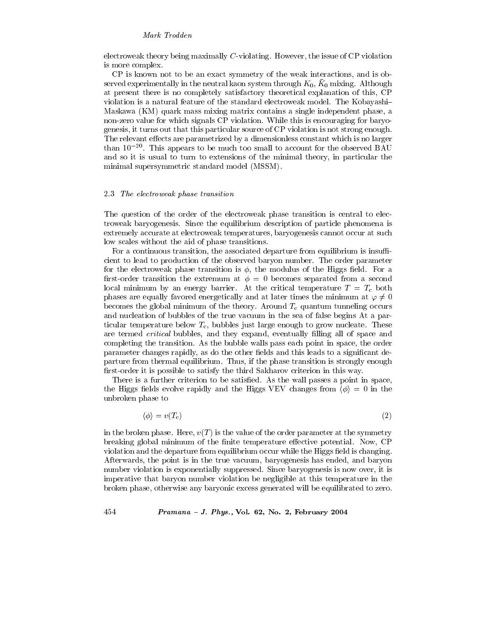electroweak theory being maximally  $C$ -violating. However, the issue of  $\overline{CP}$  violation is more complex.

CP is known not to be an exact symmetry of the weak interactions, and is observed experimentally in the neutral kaon system through  $K_0$ ,  $\bar{K}_0$  mixing. Although at present there is no completely satisfactory theoretical explanation of this, CP violation is a natural feature of the standard electroweak model. The Kobayashi Maskawa (KM) quark mass mixing matrix contains a single independent phase, a non-zero value for which signals CP violation. While this is encouraging for baryogenesis, it turns out that this particular source of CP violation is not strong enough. The relevant effects are parametrized by a dimensionless constant which is no larger than  $10^{-20}$ . This appears to be much too small to account for the observed BAU and so it is usual to turn to extensions of the minimal theory, in particular the minimal supersymmetric standard model (MSSM).

### 2.3 The electroweak phase transition

The question of the order of the electroweak phase transition is central to electroweak baryogenesis. Since the equilibrium description of particle phenomena is extremely accurate at electroweak temperatures, baryogenesis cannot occur at such low scales without the aid of phase transitions.

For a continuous transition, the associated departure from equilibrium is insufficient to lead to production of the observed baryon number. The order parameter for the electroweak phase transition is  $\phi$ , the modulus of the Higgs field. For a first-order transition the extremum at  $\phi = 0$  becomes separated from a second local minimum by an energy barrier. At the critical temperature  $T = T_c$  both phases are equally favored energetically and at later times the minimum at  $\varphi \neq 0$ becomes the global minimum of the theory. Around  $T_c$  quantum tunneling occurs and nucleation of bubbles of the true vacuum in the sea of false begins At a particular temperature below  $T_c$ , bubbles just large enough to grow nucleate. These are termed *critical* bubbles, and they expand, eventually filling all of space and completing the transition. As the bubble walls pass each point in space, the order parameter changes rapidly, as do the other fields and this leads to a significant departure from thermal equilibrium. Thus, if the phase transition is strongly enough first-order it is possible to satisfy the third Sakharov criterion in this way.

There is a further criterion to be satisfied. As the wall passes a point in space, the Higgs fields evolve rapidly and the Higgs VEV changes from  $\langle \phi \rangle = 0$  in the unbroken phase to

$$
\langle \phi \rangle = v(T_c) \tag{2}
$$

in the broken phase. Here,  $v(T)$  is the value of the order parameter at the symmetry breaking global minimum of the finite temperature effective potential. Now, CP violation and the departure from equilibrium occur while the Higgs field is changing. Afterwards, the point is in the true vacuum, baryogenesis has ended, and baryon number violation is exponentially suppressed. Since baryogenesis is now over, it is imperative that baryon number violation be negligible at this temperature in the broken phase, otherwise any baryonic excess generated will be equilibrated to zero.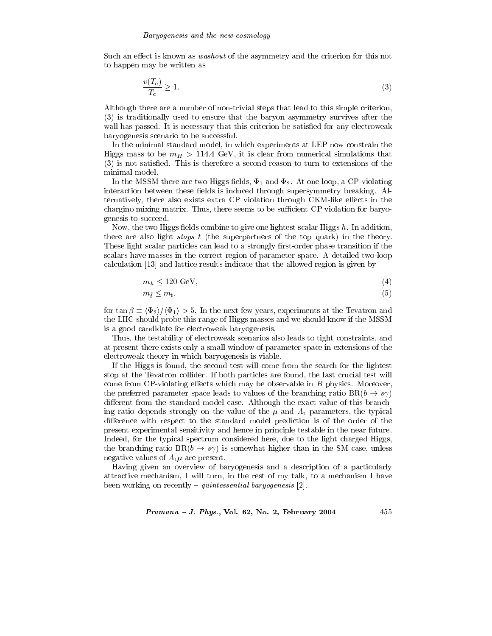Such an effect is known as *washout* of the asymmetry and the criterion for this not to happen may be written as

$$
\frac{v(T_c)}{T_c} \ge 1.\tag{3}
$$

Although there are a number of non-trivial steps that lead to this simple criterion, (3) is traditionally used to ensure that the baryon asymmetry survives after the wall has passed. It is necessary that this criterion be satisfied for any electroweak baryogenesis scenario to be successful.

In the minimal standard model, in which experiments at LEP now constrain the Higgs mass to be  $m_H > 114.4$  GeV, it is clear from numerical simulations that (3) is not satisfied. This is therefore a second reason to turn to extensions of the minimal model.

In the MSSM there are two Higgs fields,  $\Phi_1$  and  $\Phi_2$ . At one loop, a CP-violating interaction between these fields is induced through supersymmetry breaking. Alternatively, there also exists extra CP violation through CKM-like effects in the chargino mixing matrix. Thus, there seems to be sufficient CP violation for baryogenesis to succeed.

Now, the two Higgs fields combine to give one lightest scalar Higgs  $h$ . In addition, there are also light *stops*  $\hat{t}$  (the superpartners of the top quark) in the theory. These light scalar particles can lead to a strongly first-order phase transition if the scalars have masses in the correct region of parameter space. A detailed two-loop calculation [13] and lattice results indicate that the allowed region is given by

$$
m_h \le 120 \text{ GeV},\tag{4}
$$

$$
m_{\tilde{t}} \le m_{\tilde{t}},\tag{5}
$$

for  $\tan \beta \equiv \langle \Phi_2 \rangle / \langle \Phi_1 \rangle > 5$ . In the next few years, experiments at the Tevatron and the LHC should probe this range of Higgs masses and we should know if the MSSM is a good candidate for electroweak baryogenesis.

Thus, the testability of electroweak scenarios also leads to tight constraints, and at present there exists only a small window of parameter space in extensions of the electroweak theory in which baryogenesis is viable.

If the Higgs is found, the second test will come from the search for the lightest stop at the Tevatron collider. If both particles are found, the last crucial test will come from  $CP$ -violating effects which may be observable in  $B$  physics. Moreover, the preferred parameter space leads to values of the branching ratio  $BR(b \rightarrow s\gamma)$ different from the standard model case. Although the exact value of this branching ratio depends strongly on the value of the  $\mu$  and  $A_t$  parameters, the typical difference with respect to the standard model prediction is of the order of the present experimental sensitivity and hence in principle testable in the near future. Indeed, for the typical spectrum considered here, due to the light charged Higgs, the branching ratio  $BR(b \rightarrow s\gamma)$  is somewhat higher than in the SM case, unless negative values of  $A_t\mu$  are present.

Having given an overview of baryogenesis and a description of a particularly attractive mechanism, I will turn, in the rest of my talk, to a mechanism I have been working on recently – *quintessential baryogenesis* [2].

Pramana - J. Phys., Vol. 62, No. 2, February 2004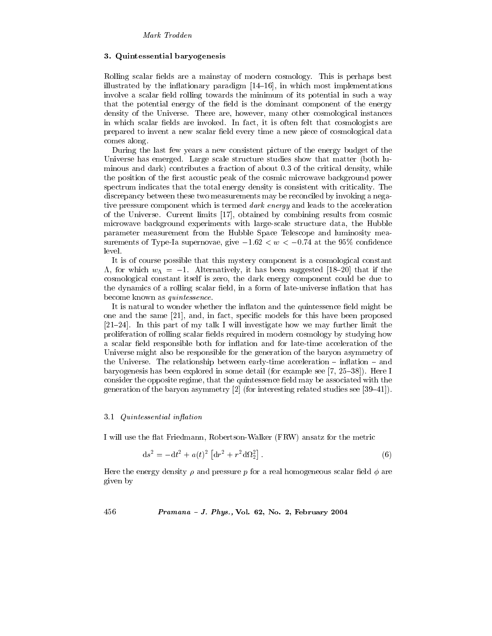### 3. Quintessential baryogenesis

Rolling scalar fields are a mainstay of modern cosmology. This is perhaps best illustrated by the inflationary paradigm  $[14-16]$ , in which most implementations involve a scalar field rolling towards the minimum of its potential in such a way that the potential energy of the field is the dominant component of the energy density of the Universe. There are, however, many other cosmological instances in which scalar fields are invoked. In fact, it is often felt that cosmologists are prepared to invent a new scalar field every time a new piece of cosmological data comes along.

During the last few years a new consistent picture of the energy budget of the Universe has emerged. Large scale structure studies show that matter (both luminous and dark) contributes a fraction of about 0.3 of the critical density, while the position of the first acoustic peak of the cosmic microwave background power spectrum indicates that the total energy density is consistent with criticality. The discrepancy between these two measurements may be reconciled by invoking a negative pressure component which is termed dark energy and leads to the acceleration of the Universe. Current limits [17], obtained by combining results from cosmic microwave background experiments with large-scale structure data, the Hubble parameter measurement from the Hubble Space Telescope and luminosity measurements of Type-Ia supernovae, give  $-1.62 < w < -0.74$  at the 95% confidence level.

It is of course possible that this mystery component is a cosmological constant  $\Lambda$ , for which  $w_{\Lambda} = -1$ . Alternatively, it has been suggested [18-20] that if the cosmological constant itself is zero, the dark energy component could be due to the dynamics of a rolling scalar field, in a form of late-universe inflation that has become known as *quintessence*.

It is natural to wonder whether the inflaton and the quintessence field might be one and the same [21], and, in fact, specific models for this have been proposed  $[21-24]$ . In this part of my talk I will investigate how we may further limit the proliferation of rolling scalar fields required in modern cosmology by studying how a scalar field responsible both for inflation and for late-time acceleration of the Universe might also be responsible for the generation of the baryon asymmetry of the Universe. The relationship between early-time acceleration  $-$  inflation  $-$  and baryogenesis has been explored in some detail (for example see  $[7, 25-38]$ ). Here I consider the opposite regime, that the quintessence field may be associated with the generation of the baryon asymmetry [2] (for interesting related studies see [39–41]).

### 3.1 Quintessential inflation

I will use the flat Friedmann, Robertson-Walker (FRW) ansatz for the metric

$$
ds^{2} = -dt^{2} + a(t)^{2} \left[ dr^{2} + r^{2} d\Omega_{2}^{2} \right].
$$
 (6)

Here the energy density  $\rho$  and pressure p for a real homogeneous scalar field  $\phi$  are given by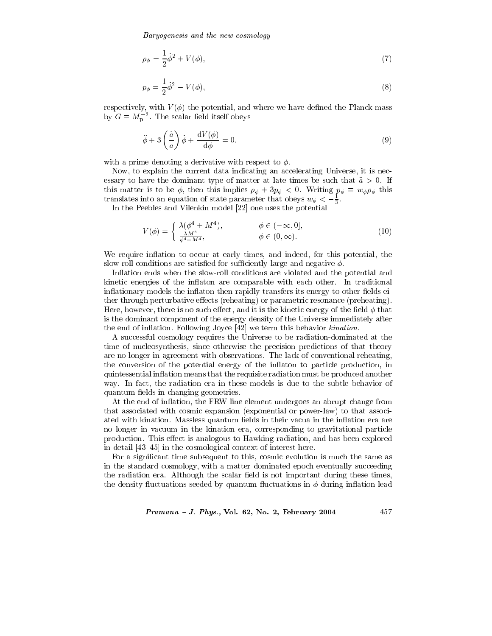Baryogenesis and the new cosmology

$$
\rho_{\phi} = \frac{1}{2}\dot{\phi}^2 + V(\phi),
$$
\n(7)

$$
p_{\phi} = \frac{1}{2}\dot{\phi}^2 - V(\phi),
$$
\n(8)

respectively, with  $V(\phi)$  the potential, and where we have defined the Planck mass by  $G \equiv M_{p}^{-2}$ . The scalar field itself obeys

$$
\ddot{\phi} + 3\left(\frac{\dot{a}}{a}\right)\dot{\phi} + \frac{\mathrm{d}V(\phi)}{\mathrm{d}\phi} = 0,\tag{9}
$$

with a prime denoting a derivative with respect to  $\phi$ .

Now, to explain the current data indicating an accelerating Universe, it is necessary to have the dominant type of matter at late times be such that  $\ddot{a} > 0$ . If this matter is to be  $\phi$ , then this implies  $\rho_{\phi} + 3p_{\phi} < 0$ . Writing  $p_{\phi} \equiv w_{\phi} \rho_{\phi}$  this translates into an equation of state parameter that obeys  $w_{\phi} < -\frac{1}{3}$ .

In the Peebles and Vilenkin model [22] one uses the potential

$$
V(\phi) = \begin{cases} \lambda(\phi^4 + M^4), & \phi \in (-\infty, 0],\\ \frac{\lambda M^8}{\phi^4 + M^4}, & \phi \in (0, \infty). \end{cases}
$$
(10)

We require inflation to occur at early times, and indeed, for this potential, the slow-roll conditions are satisfied for sufficiently large and negative  $\phi$ .

Inflation ends when the slow-roll conditions are violated and the potential and kinetic energies of the inflaton are comparable with each other. In traditional inflationary models the inflation then rapidly transfers its energy to other fields either through perturbative effects (reheating) or parametric resonance (preheating). Here, however, there is no such effect, and it is the kinetic energy of the field  $\phi$  that is the dominant component of the energy density of the Universe immediately after the end of inflation. Following Joyce [42] we term this behavior kination.

A successful cosmology requires the Universe to be radiation-dominated at the time of nucleosynthesis, since otherwise the precision predictions of that theory are no longer in agreement with observations. The lack of conventional reheating, the conversion of the potential energy of the inflaton to particle production, in quintessential inflation means that the requisite radiation must be produced another way. In fact, the radiation era in these models is due to the subtle behavior of quantum fields in changing geometries.

At the end of inflation, the FRW line element undergoes an abrupt change from that associated with cosmic expansion (exponential or power-law) to that associated with kination. Massless quantum fields in their vacua in the inflation era are no longer in vacuum in the kination era, corresponding to gravitational particle production. This effect is analogous to Hawking radiation, and has been explored in detail [43–45] in the cosmological context of interest here.

For a significant time subsequent to this, cosmic evolution is much the same as in the standard cosmology, with a matter dominated epoch eventually succeeding the radiation era. Although the scalar field is not important during these times, the density fluctuations seeded by quantum fluctuations in  $\phi$  during inflation lead

### Pramana - J. Phys., Vol. 62, No. 2, February 2004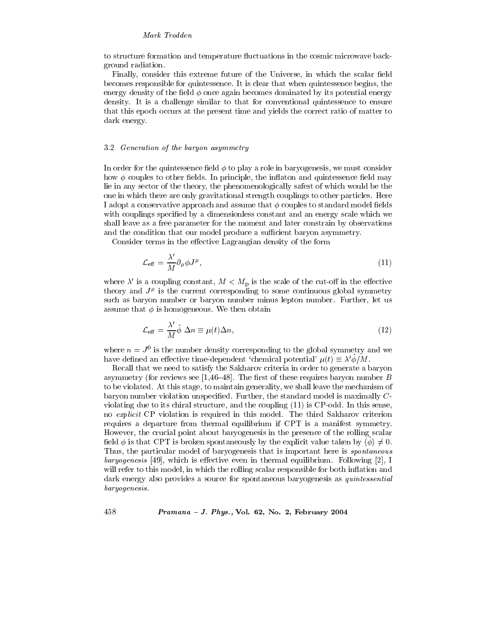to structure formation and temperature fluctuations in the cosmic microwave background radiation.

Finally, consider this extreme future of the Universe, in which the scalar field becomes responsible for quintessence. It is clear that when quintessence begins, the energy density of the field  $\phi$  once again becomes dominated by its potential energy density. It is a challenge similar to that for conventional quintessence to ensure that this epoch occurs at the present time and yields the correct ratio of matter to dark energy.

# 3.2 Generation of the baryon asymmetry

In order for the quintessence field  $\phi$  to play a role in baryogenesis, we must consider how  $\phi$  couples to other fields. In principle, the inflaton and quintessence field may lie in any sector of the theory, the phenomenologically safest of which would be the one in which there are only gravitational strength couplings to other particles. Here I adopt a conservative approach and assume that  $\phi$  couples to standard model fields with couplings specified by a dimensionless constant and an energy scale which we shall leave as a free parameter for the moment and later constrain by observations and the condition that our model produce a sufficient baryon asymmetry.

Consider terms in the effective Lagrangian density of the form

$$
\mathcal{L}_{\text{eff}} = \frac{\lambda'}{M} \partial_{\mu} \phi J^{\mu},\tag{11}
$$

where  $\lambda'$  is a coupling constant,  $M < M_{\rm p}$  is the scale of the cut-off in the effective theory and  $J^{\mu}$  is the current corresponding to some continuous global symmetry such as baryon number or baryon number minus lepton number. Further, let us assume that  $\phi$  is homogeneous. We then obtain

$$
\mathcal{L}_{\text{eff}} = \frac{\lambda'}{M} \dot{\phi} \ \Delta n \equiv \mu(t) \Delta n,\tag{12}
$$

where  $n = J^0$  is the number density corresponding to the global symmetry and we have defined an effective time-dependent 'chemical potential'  $\mu(t) \equiv \lambda' \dot{\phi}/M$ .

Recall that we need to satisfy the Sakharov criteria in order to generate a baryon asymmetry (for reviews see [1,46–48]. The first of these requires baryon number B to be violated. At this stage, to maintain generality, we shall leave the mechanism of baryon number violation unspecified. Further, the standard model is maximally Cviolating due to its chiral structure, and the coupling (11) is CP-odd. In this sense, no explicit CP violation is required in this model. The third Sakharov criterion requires a departure from thermal equilibrium if CPT is a manifest symmetry. However, the crucial point about baryogenesis in the presence of the rolling scalar field  $\phi$  is that CPT is broken spontaneously by the explicit value taken by  $\langle \phi \rangle \neq 0$ . Thus, the particular model of baryogenesis that is important here is *spontaneous baryogenesis* [49], which is effective even in thermal equilibrium. Following [2], I will refer to this model, in which the rolling scalar responsible for both inflation and dark energy also provides a source for spontaneous baryogenesis as *quintessential* baryogenesis.

Pramana - J. Phys., Vol. 62, No. 2, February 2004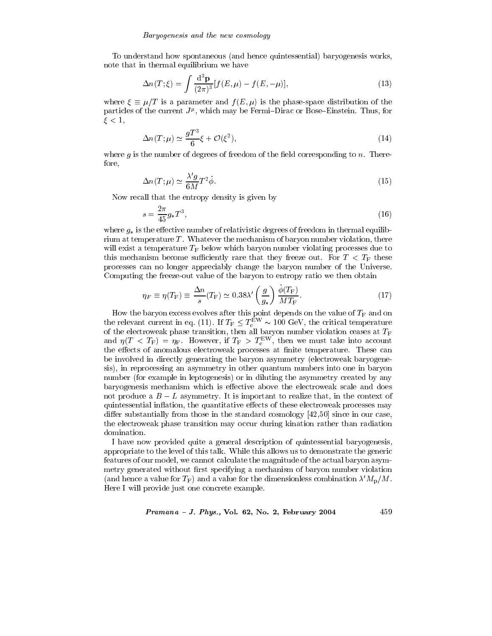To understand how spontaneous (and hence quintessential) baryogenesis works, note that in thermal equilibrium we have

$$
\Delta n(T;\xi) = \int \frac{\mathrm{d}^3 \mathbf{p}}{(2\pi)^3} [f(E,\mu) - f(E,-\mu)],\tag{13}
$$

where  $\xi \equiv \mu/T$  is a parameter and  $f(E,\mu)$  is the phase-space distribution of the particles of the current  $J^{\mu}$ , which may be Fermi-Dirac or Bose-Einstein. Thus, for  $\xi < 1$ ,

$$
\Delta n(T; \mu) \simeq \frac{gT^3}{6} \xi + \mathcal{O}(\xi^2),\tag{14}
$$

where  $g$  is the number of degrees of freedom of the field corresponding to  $n$ . Therefore,

$$
\Delta n(T; \mu) \simeq \frac{\lambda' g}{6M} T^2 \dot{\phi}.\tag{15}
$$

Now recall that the entropy density is given by

$$
s = \frac{2\pi}{45}g_*T^3,\tag{16}
$$

where  $g_*$  is the effective number of relativistic degrees of freedom in thermal equilibrium at temperature T. Whatever the mechanism of baryon number violation, there will exist a temperature  $T_F$  below which baryon number violating processes due to this mechanism become sufficiently rare that they freeze out. For  $T < T_F$  these processes can no longer appreciably change the baryon number of the Universe. Computing the freeze-out value of the baryon to entropy ratio we then obtain

$$
\eta_F \equiv \eta(T_F) \equiv \frac{\Delta n}{s} (T_F) \simeq 0.38 \lambda' \left(\frac{g}{g_*}\right) \frac{\phi(T_F)}{MT_F}.
$$
\n(17)

How the baryon excess evolves after this point depends on the value of  $T_F$  and on the relevant current in eq. (11). If  $T_F \n\t\leq T_c^{\text{EW}} \sim 100 \text{ GeV}$ , the critical temperature of the electroweak phase transition, then all baryon number violation ceases at  $T_F$  and  $\eta(T < T_F) = \eta_F$ . However, if  $T_F > T_c^{EW}$ , then we must take into account the effects of anomalous electroweak processes at finite temperature. These can be involved in directly generating the baryon asymmetry (electroweak baryogenesis), in reprocessing an asymmetry in other quantum numbers into one in baryon number (for example in leptogenesis) or in diluting the asymmetry created by any baryogenesis mechanism which is effective above the electroweak scale and does not produce a  $B-L$  asymmetry. It is important to realize that, in the context of quintessential inflation, the quantitative effects of these electroweak processes may differ substantially from those in the standard cosmology  $[42,50]$  since in our case, the electroweak phase transition may occur during kination rather than radiation domination.

I have now provided quite a general description of quintessential baryogenesis, appropriate to the level of this talk. While this allows us to demonstrate the generic features of our model, we cannot calculate the magnitude of the actual baryon asymmetry generated without first specifying a mechanism of baryon number violation (and hence a value for  $T_F$ ) and a value for the dimensionless combination  $\lambda' M_{\rm p}/M$ . Here I will provide just one concrete example.

Pramana - J. Phys., Vol. 62, No. 2, February 2004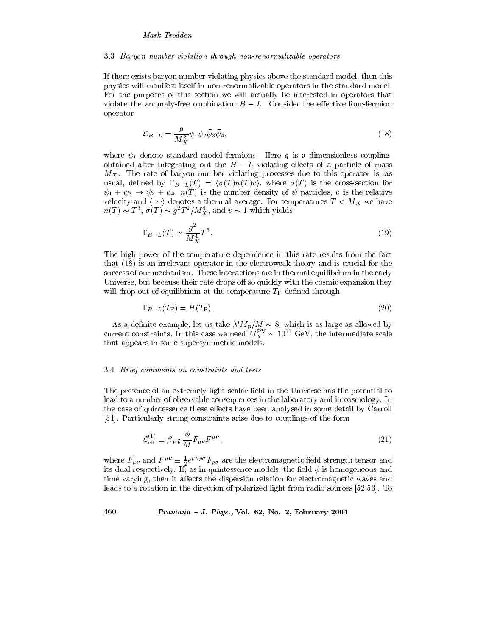### 3.3 Baryon number violation through non-renormalizable operators

If there exists baryon number violating physics above the standard model, then this physics will manifest itself in non-renormalizable operators in the standard model. For the purposes of this section we will actually be interested in operators that violate the anomaly-free combination  $B-L$ . Consider the effective four-fermion operator

$$
\mathcal{L}_{B-L} = \frac{\tilde{g}}{M_X^2} \psi_1 \psi_2 \bar{\psi}_3 \bar{\psi}_4,\tag{18}
$$

where  $\psi_i$  denote standard model fermions. Here  $\tilde{g}$  is a dimensionless coupling, obtained after integrating out the  $B-L$  violating effects of a particle of mass  $M_X$ . The rate of baryon number violating processes due to this operator is, as usual, defined by  $\Gamma_{B-L}(T) = \langle \sigma(T)n(T)v \rangle$ , where  $\sigma(T)$  is the cross-section for  $\psi_1 + \psi_2 \rightarrow \psi_3 + \psi_4$ ,  $n(T)$  is the number density of  $\psi$  particles, v is the relative velocity and  $\langle \cdots \rangle$  denotes a thermal average. For temperatures  $T < M_X$  we have  $n(T) \sim T^3$ ,  $\sigma(T) \sim \tilde{g}^2 T^2 / M_X^4$ , and  $v \sim 1$  which yields

$$
\Gamma_{B-L}(T) \simeq \frac{\tilde{g}^2}{M_X^4} T^5. \tag{19}
$$

The high power of the temperature dependence in this rate results from the fact that (18) is an irrelevant operator in the electroweak theory and is crucial for the success of our mechanism. These interactions are in thermal equilibrium in the early Universe, but because their rate drops off so quickly with the cosmic expansion they will drop out of equilibrium at the temperature  $T_F$  defined through

$$
\Gamma_{B-L}(T_{\mathcal{F}}) = H(T_{\mathcal{F}}). \tag{20}
$$

As a definite example, let us take  $\lambda' M_{\rm p}/M \sim 8$ , which is as large as allowed by current constraints. In this case we need  $M_X^{\rm PV} \sim 10^{11}$  GeV, the intermediate scale that appears in some supersymmetric models.

# 3.4 Brief comments on constraints and tests

The presence of an extremely light scalar field in the Universe has the potential to lead to a number of observable consequences in the laboratory and in cosmology. In the case of quintessence these effects have been analysed in some detail by Carroll [51]. Particularly strong constraints arise due to couplings of the form

$$
\mathcal{L}_{\text{eff}}^{(1)} \equiv \beta_{F\bar{F}} \frac{\phi}{M} F_{\mu\nu} \tilde{F}^{\mu\nu},\tag{21}
$$

where  $F_{\mu\nu}$  and  $\tilde{F}^{\mu\nu} \equiv \frac{1}{2} \epsilon^{\mu\nu\rho\sigma} F_{\rho\sigma}$  are the electromagnetic field strength tensor and its dual respectively. If, as in quintessence models, the field  $\phi$  is homogeneous and time varying, then it affects the dispersion relation for electromagnetic waves and leads to a rotation in the direction of polarized light from radio sources [52,53]. To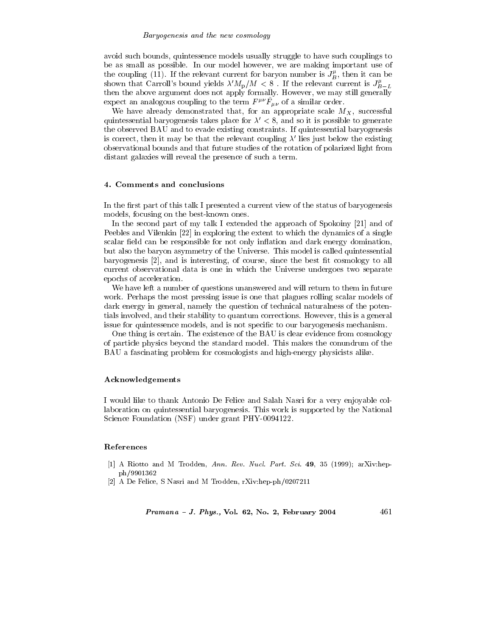### Baryogenesis and the new cosmology

avoid such bounds, quintessence models usually struggle to have such couplings to be as small as possible. In our model however, we are making important use of the coupling (11). If the relevant current for baryon number is  $J_B^{\mu}$ , then it can be shown that Carroll's bound yields  $\lambda' M_{\rm p}/M < 8$ . If the relevant current is  $J_{B-L}^{\mu}$  then the above argument does not apply formally. However, we may still generally expect an analogous coupling to the term  $F^{\mu\nu}\tilde{F}_{\mu\nu}$  of a similar order.

We have already demonstrated that, for an appropriate scale  $M_X$ , successful quintessential baryogenesis takes place for  $\lambda' < 8$ , and so it is possible to generate the observed BAU and to evade existing constraints. If quintessential baryogenesis is correct, then it may be that the relevant coupling  $\lambda'$  lies just below the existing observational bounds and that future studies of the rotation of polarized light from distant galaxies will reveal the presence of such a term.

# 4. Comments and conclusions

In the first part of this talk I presented a current view of the status of baryogenesis models, focusing on the best-known ones.

In the second part of my talk I extended the approach of Spokoiny [21] and of Peebles and Vilenkin [22] in exploring the extent to which the dynamics of a single scalar field can be responsible for not only inflation and dark energy domination, but also the baryon asymmetry of the Universe. This model is called quintessential baryogenesis [2], and is interesting, of course, since the best fit cosmology to all current observational data is one in which the Universe undergoes two separate epochs of acceleration.

We have left a number of questions unanswered and will return to them in future work. Perhaps the most pressing issue is one that plagues rolling scalar models of dark energy in general, namely the question of technical naturalness of the potentials involved, and their stability to quantum corrections. However, this is a general issue for quintessence models, and is not specific to our baryogenesis mechanism.

One thing is certain. The existence of the BAU is clear evidence from cosmology of particle physics beyond the standard model. This makes the conundrum of the BAU a fascinating problem for cosmologists and high-energy physicists alike.

# Acknowledgements

I would like to thank Antonio De Felice and Salah Nasri for a very enjoyable collaboration on quintessential baryogenesis. This work is supported by the National Science Foundation (NSF) under grant PHY-0094122.

# References

- [1] A Riotto and M Trodden, Ann. Rev. Nucl. Part. Sci. 49, 35 (1999); arXiv:hepph/9901362
- [2] A De Felice, S Nasri and M Trodden, rXiv:hep-ph/0207211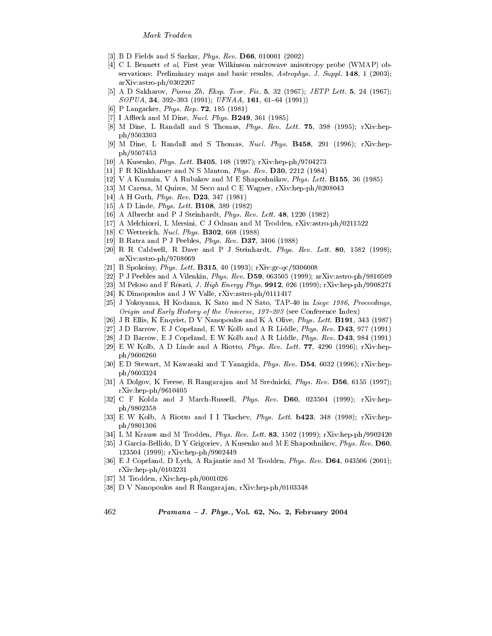- [3] B D Fields and S Sarkar, Phys. Rev. D66, 010001 (2002)
- [4] C L Bennett et al, First year Wilkinson microwave anisotropy probe (WMAP) observations: Preliminary maps and basic results, Astrophys. J. Suppl. 148, 1 (2003);  $arXiv:astro-ph/0302207$
- [5] A D Sakharov, Pisma Zh. Eksp. Teor. Fiz. 5, 32 (1967); JETP Lett. 5, 24 (1967);  $SOPUA$ , 34, 392-393 (1991); UFNAA, 161, 61-64 (1991))
- [6] P Langacker, Phys. Rep. 72, 185 (1981)
- [7] I Affleck and M Dine, *Nucl. Phys.* **B249**, 361 (1985)
- [8] M Dine, L Randall and S Thomas, Phys. Rev. Lett. 75, 398 (1995); rXiv:hepph/9503303
- [9] M Dine, L Randall and S Thomas, Nucl. Phys. B458, 291 (1996); rXiv:hepph/9507453
- [10] A Kusenko, *Phys. Lett.* **B405**, 108 (1997); rXiv:hep-ph/9704273
- [11] F R Klinkhamer and N S Manton, Phys. Rev.  $D30$ , 2212 (1984)
- [12] V A Kuzmin, V A Rubakov and M E Shaposhnikov, *Phys. Lett.* **B155**, 36 (1985)
- [13] M Carena, M Quiros, M Seco and C E Wagner, rXiv:hep-ph/0208043
- [14] A H Guth, *Phys. Rev.* **D23**, 347 (1981)
- [15] A D Linde, *Phys. Lett.* **B108**, 389 (1982)
- [16] A Albrecht and P J Steinhardt, Phys. Rev. Lett. 48, 1220 (1982)
- [17] A Melchiorri, L Mersini, C J Odman and M Trodden, rXiv:astro-ph/0211522
- $[18]$ C Wetterich, *Nucl. Phys.* **B302**, 668 (1988)
- [19] B Ratra and P J Peebles, *Phys. Rev.* **D37**, 3406 (1988)
- [20] R. R. Caldwell, R. Dave and P. J. Steinhardt, Phys. Rev. Lett. 80, 1582 (1998);  $arXiv:astro-ph/9708069$
- [21] B Spokoiny, Phys. Lett. B315, 40 (1993); rXiv:gr-qc/9306008
- [22] P J Peebles and A Vilenkin, *Phys. Rev.* D59, 063505 (1999); arXiv:astro-ph/9810509
- [23] M Peloso and F Rosati, *J. High Energy Phys.* **9912**, 026 (1999); rXiv:hep-ph/9908271
- [24] K Dimopoulos and J W Valle, rXiv:astro-ph/0111417
- [25] J Yokoyama, H Kodama, K Sato and N Sato, TAP-40 in Liege 1986, Proceedings, Origin and Early History of the Universe, 197-203 (see Conference Index)
- [26] J R Ellis, K Enqvist, D V Nanopoulos and K A Olive, *Phys. Lett.* **B191**, 343 (1987)
- [27] J D Barrow, E J Copeland, E W Kolb and A R Liddle, Phys. Rev. D43, 977 (1991)
- [28] J D Barrow, E J Copeland, E W Kolb and A R Liddle, Phys. Rev. D43, 984 (1991)
- [29] E W Kolb, A D Linde and A Riotto, Phys. Rev. Lett. 77, 4290 (1996); rXiv:hepph/9606260
- [30] E D Stewart, M Kawasaki and T Yanagida, Phys. Rev. D54, 6032 (1996); rXiv:hepph/9603324
- [31] A Dolgov, K Freese, R Rangarajan and M Srednicki, Phys. Rev. D56, 6155 (1997);  $rXiv:hep-ph/9610405$
- [32] C F Kolda and J March-Russell, Phys. Rev.  $D60$ , 023504 (1999); rXiv:hepph/9802358
- [33] E W Kolb, A Riotto and I I Tkachev, *Phys. Lett.* **b423**, 348 (1998); rXiv:hepph/9801306
- [34] L M Krauss and M Trodden, *Phys. Rev. Lett.* 83, 1502 (1999); rXiv:hep-ph/9902420
- [35] J Garcia-Bellido, D Y Grigoriev, A Kusenko and M E Shaposhnikov, Phys. Rev. D60, 123504 (1999); rXiv:hep-ph/9902449
- [36] E J Copeland, D Lyth, A Rajantie and M Trodden, Phys. Rev.  $D64$ , 043506 (2001);  $rXiv:hep-ph/0103231$
- [37] M Trodden, rXiv:hep-ph/0001026
- [38] D V Nanopoulos and R Rangarajan, rXiv:hep-ph/0103348